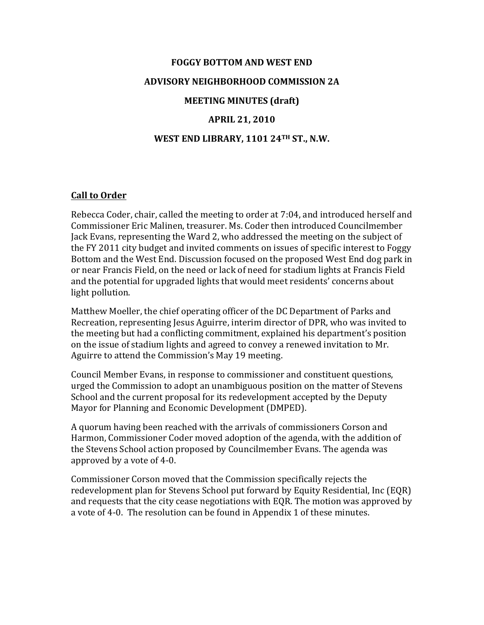# **FOGGY BOTTOM AND WEST END ADVISORY NEIGHBORHOOD COMMISSION 2A MEETING MINUTES (draft) APRIL 21, 2010**

### **WEST END LIBRARY, 1101 24TH ST., N.W.**

### **Call to Order**

Rebecca Coder, chair, called the meeting to order at 7:04, and introduced herself and Commissioner Eric Malinen, treasurer. Ms. Coder then introduced Councilmember Jack Evans, representing the Ward 2, who addressed the meeting on the subject of the FY 2011 city budget and invited comments on issues of specific interest to Foggy Bottom and the West End. Discussion focused on the proposed West End dog park in or near Francis Field, on the need or lack of need for stadium lights at Francis Field and the potential for upgraded lights that would meet residents' concerns about light pollution.

Matthew Moeller, the chief operating officer of the DC Department of Parks and Recreation, representing Jesus Aguirre, interim director of DPR, who was invited to the meeting but had a conflicting commitment, explained his department's position on the issue of stadium lights and agreed to convey a renewed invitation to Mr. Aguirre to attend the Commission's May 19 meeting.

Council Member Evans, in response to commissioner and constituent questions, urged the Commission to adopt an unambiguous position on the matter of Stevens School and the current proposal for its redevelopment accepted by the Deputy Mayor for Planning and Economic Development (DMPED).

A quorum having been reached with the arrivals of commissioners Corson and Harmon, Commissioner Coder moved adoption of the agenda, with the addition of the Stevens School action proposed by Councilmember Evans. The agenda was approved by a vote of 4-0.

Commissioner Corson moved that the Commission specifically rejects the redevelopment plan for Stevens School put forward by Equity Residential, Inc (EQR) and requests that the city cease negotiations with EQR. The motion was approved by a vote of 4-0. The resolution can be found in Appendix 1 of these minutes.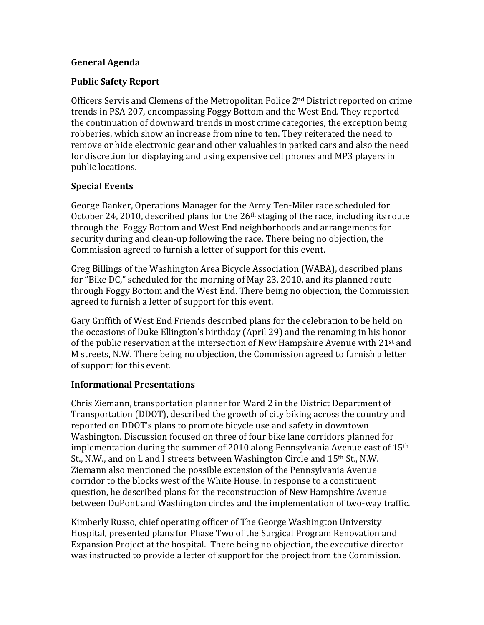### **General Agenda**

# **Public Safety Report**

Officers Servis and Clemens of the Metropolitan Police  $2<sup>nd</sup>$  District reported on crime trends in PSA 207, encompassing Foggy Bottom and the West End. They reported the continuation of downward trends in most crime categories, the exception being robberies, which show an increase from nine to ten. They reiterated the need to remove or hide electronic gear and other valuables in parked cars and also the need for discretion for displaying and using expensive cell phones and MP3 players in public locations.

# **Special Events**

George Banker, Operations Manager for the Army Ten-Miler race scheduled for October 24, 2010, described plans for the  $26<sup>th</sup>$  staging of the race, including its route through the Foggy Bottom and West End neighborhoods and arrangements for security during and clean-up following the race. There being no objection, the Commission agreed to furnish a letter of support for this event.

Greg Billings of the Washington Area Bicycle Association (WABA), described plans for "Bike DC," scheduled for the morning of May 23, 2010, and its planned route through Foggy Bottom and the West End. There being no objection, the Commission agreed to furnish a letter of support for this event.

Gary Griffith of West End Friends described plans for the celebration to be held on the occasions of Duke Ellington's birthday (April 29) and the renaming in his honor of the public reservation at the intersection of New Hampshire Avenue with  $21^{st}$  and M streets, N.W. There being no objection, the Commission agreed to furnish a letter of support for this event.

### **Informational Presentations**

Chris Ziemann, transportation planner for Ward 2 in the District Department of Transportation (DDOT), described the growth of city biking across the country and reported on DDOT's plans to promote bicycle use and safety in downtown Washington. Discussion focused on three of four bike lane corridors planned for implementation during the summer of 2010 along Pennsylvania Avenue east of  $15<sup>th</sup>$ St., N.W., and on L and I streets between Washington Circle and 15<sup>th</sup> St., N.W. Ziemann also mentioned the possible extension of the Pennsylvania Avenue corridor to the blocks west of the White House. In response to a constituent question, he described plans for the reconstruction of New Hampshire Avenue between DuPont and Washington circles and the implementation of two-way traffic.

Kimberly Russo, chief operating officer of The George Washington University Hospital, presented plans for Phase Two of the Surgical Program Renovation and Expansion Project at the hospital. There being no objection, the executive director was instructed to provide a letter of support for the project from the Commission.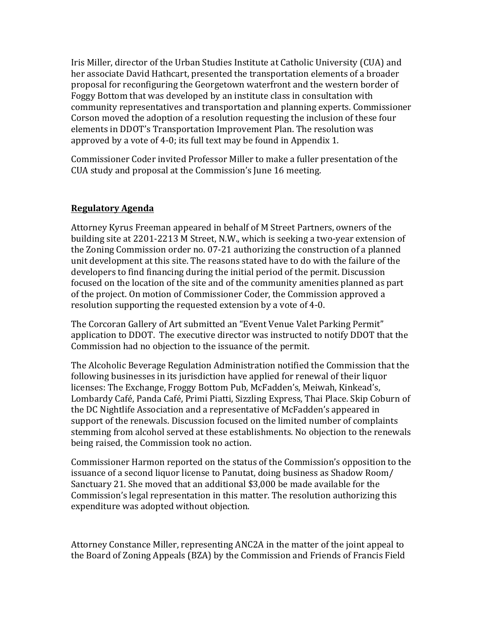Iris Miller, director of the Urban Studies Institute at Catholic University (CUA) and her associate David Hathcart, presented the transportation elements of a broader proposal for reconfiguring the Georgetown waterfront and the western border of Foggy Bottom that was developed by an institute class in consultation with community representatives and transportation and planning experts. Commissioner Corson moved the adoption of a resolution requesting the inclusion of these four elements in DDOT's Transportation Improvement Plan. The resolution was approved by a vote of 4-0; its full text may be found in Appendix 1.

Commissioner Coder invited Professor Miller to make a fuller presentation of the CUA study and proposal at the Commission's June 16 meeting.

# **Regulatory Agenda**

Attorney Kyrus Freeman appeared in behalf of M Street Partners, owners of the building site at 2201-2213 M Street, N.W., which is seeking a two-year extension of the Zoning Commission order no. 07-21 authorizing the construction of a planned unit development at this site. The reasons stated have to do with the failure of the developers to find financing during the initial period of the permit. Discussion focused on the location of the site and of the community amenities planned as part of the project. On motion of Commissioner Coder, the Commission approved a resolution supporting the requested extension by a vote of 4-0.

The Corcoran Gallery of Art submitted an "Event Venue Valet Parking Permit" application to DDOT. The executive director was instructed to notify DDOT that the Commission had no objection to the issuance of the permit.

The Alcoholic Beverage Regulation Administration notified the Commission that the following businesses in its jurisdiction have applied for renewal of their liquor licenses: The Exchange, Froggy Bottom Pub, McFadden's, Meiwah, Kinkead's, Lombardy Café, Panda Café, Primi Piatti, Sizzling Express, Thai Place. Skip Coburn of the DC Nightlife Association and a representative of McFadden's appeared in support of the renewals. Discussion focused on the limited number of complaints stemming from alcohol served at these establishments. No objection to the renewals being raised, the Commission took no action.

Commissioner Harmon reported on the status of the Commission's opposition to the issuance of a second liquor license to Panutat, doing business as Shadow Room/ Sanctuary 21. She moved that an additional \$3,000 be made available for the Commission's legal representation in this matter. The resolution authorizing this expenditure was adopted without objection.

Attorney Constance Miller, representing ANC2A in the matter of the joint appeal to the Board of Zoning Appeals (BZA) by the Commission and Friends of Francis Field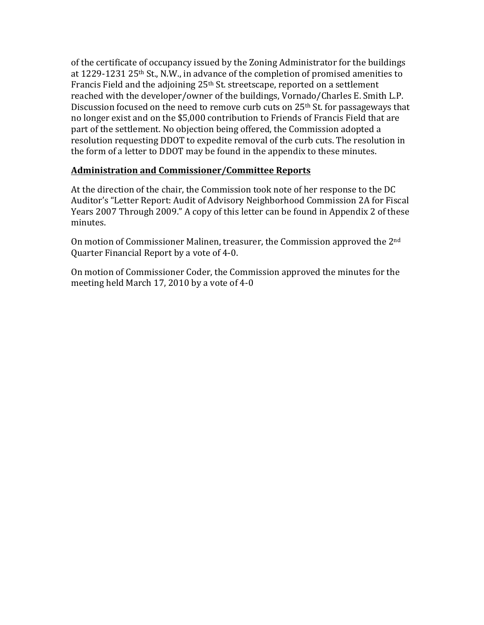of the certificate of occupancy issued by the Zoning Administrator for the buildings at  $1229-1231$   $25<sup>th</sup>$  St., N.W., in advance of the completion of promised amenities to Francis Field and the adjoining 25<sup>th</sup> St. streetscape, reported on a settlement reached with the developer/owner of the buildings, Vornado/Charles E. Smith L.P. Discussion focused on the need to remove curb cuts on  $25<sup>th</sup>$  St. for passageways that no longer exist and on the \$5,000 contribution to Friends of Francis Field that are part of the settlement. No objection being offered, the Commission adopted a resolution requesting DDOT to expedite removal of the curb cuts. The resolution in the form of a letter to DDOT may be found in the appendix to these minutes.

# **Administration and Commissioner/Committee Reports**

At the direction of the chair, the Commission took note of her response to the DC Auditor's "Letter Report: Audit of Advisory Neighborhood Commission 2A for Fiscal Years 2007 Through 2009." A copy of this letter can be found in Appendix 2 of these minutes.

On motion of Commissioner Malinen, treasurer, the Commission approved the  $2<sup>nd</sup>$ Quarter Financial Report by a vote of 4-0.

On motion of Commissioner Coder, the Commission approved the minutes for the meeting held March 17, 2010 by a vote of  $4-0$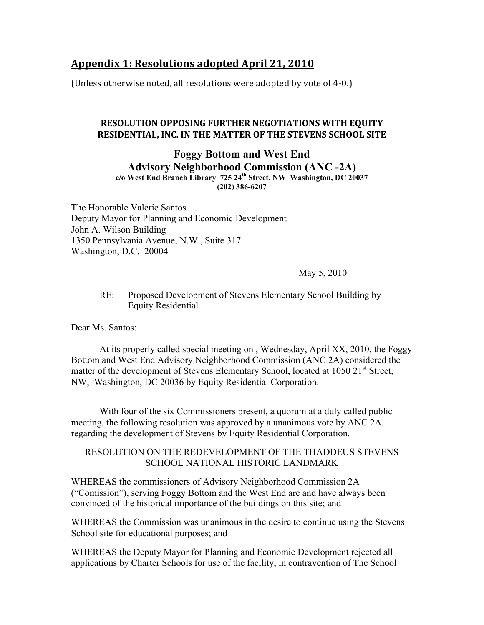# **Appendix 1: Resolutions adopted April 21, 2010**

(Unless otherwise noted, all resolutions were adopted by vote of 4-0.)

### **RESOLUTION OPPOSING FURTHER NEGOTIATIONS WITH EQUITY RESIDENTIAL, INC. IN THE MATTER OF THE STEVENS SCHOOL SITE**

### **Foggy Bottom and West End Advisory Neighborhood Commission (ANC -2A) c/o West End Branch Library 725 24th Street, NW Washington, DC 20037 (202) 386-6207**

The Honorable Valerie Santos Deputy Mayor for Planning and Economic Development John A. Wilson Building 1350 Pennsylvania Avenue, N.W., Suite 317 Washington, D.C. 20004

May 5, 2010

### RE: Proposed Development of Stevens Elementary School Building by Equity Residential

Dear Ms. Santos:

At its properly called special meeting on , Wednesday, April XX, 2010, the Foggy Bottom and West End Advisory Neighborhood Commission (ANC 2A) considered the matter of the development of Stevens Elementary School, located at 1050 21<sup>st</sup> Street, NW, Washington, DC 20036 by Equity Residential Corporation.

With four of the six Commissioners present, a quorum at a duly called public meeting, the following resolution was approved by a unanimous vote by ANC 2A, regarding the development of Stevens by Equity Residential Corporation.

### RESOLUTION ON THE REDEVELOPMENT OF THE THADDEUS STEVENS SCHOOL NATIONAL HISTORIC LANDMARK

WHEREAS the commissioners of Advisory Neighborhood Commission 2A ("Comission"), serving Foggy Bottom and the West End are and have always been convinced of the historical importance of the buildings on this site; and

WHEREAS the Commission was unanimous in the desire to continue using the Stevens School site for educational purposes; and

WHEREAS the Deputy Mayor for Planning and Economic Development rejected all applications by Charter Schools for use of the facility, in contravention of The School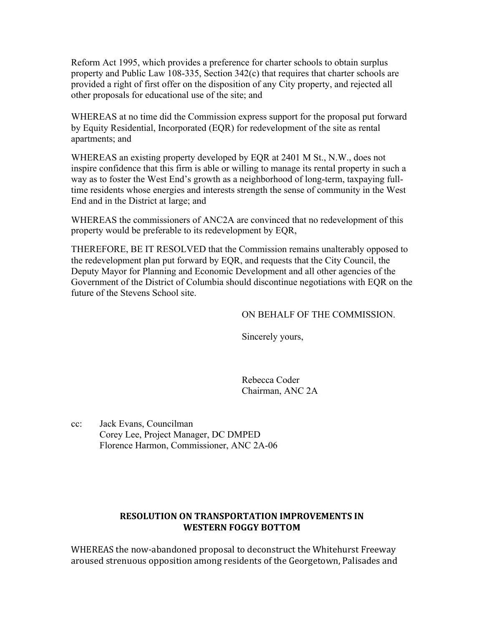Reform Act 1995, which provides a preference for charter schools to obtain surplus property and Public Law 108-335, Section 342(c) that requires that charter schools are provided a right of first offer on the disposition of any City property, and rejected all other proposals for educational use of the site; and

WHEREAS at no time did the Commission express support for the proposal put forward by Equity Residential, Incorporated (EQR) for redevelopment of the site as rental apartments; and

WHEREAS an existing property developed by EQR at 2401 M St., N.W., does not inspire confidence that this firm is able or willing to manage its rental property in such a way as to foster the West End's growth as a neighborhood of long-term, taxpaying fulltime residents whose energies and interests strength the sense of community in the West End and in the District at large; and

WHEREAS the commissioners of ANC2A are convinced that no redevelopment of this property would be preferable to its redevelopment by EQR,

THEREFORE, BE IT RESOLVED that the Commission remains unalterably opposed to the redevelopment plan put forward by EQR, and requests that the City Council, the Deputy Mayor for Planning and Economic Development and all other agencies of the Government of the District of Columbia should discontinue negotiations with EQR on the future of the Stevens School site.

### ON BEHALF OF THE COMMISSION.

Sincerely yours,

Rebecca Coder Chairman, ANC 2A

cc: Jack Evans, Councilman Corey Lee, Project Manager, DC DMPED Florence Harmon, Commissioner, ANC 2A-06

### **RESOLUTION ON TRANSPORTATION IMPROVEMENTS IN WESTERN FOGGY BOTTOM**

WHEREAS the now-abandoned proposal to deconstruct the Whitehurst Freeway aroused strenuous opposition among residents of the Georgetown, Palisades and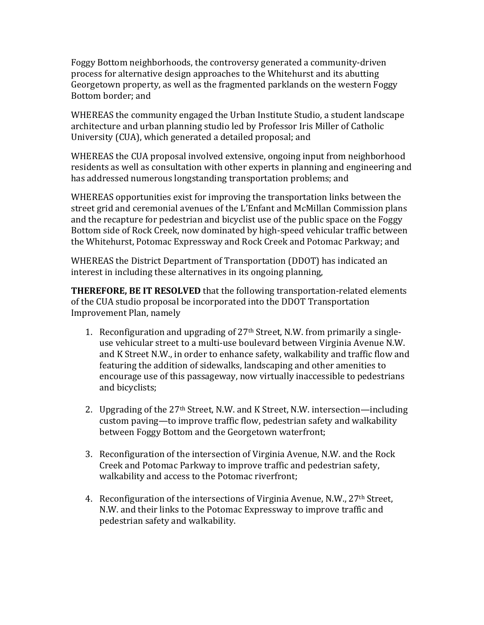Foggy Bottom neighborhoods, the controversy generated a community-driven process for alternative design approaches to the Whitehurst and its abutting Georgetown property, as well as the fragmented parklands on the western Foggy Bottom border; and

WHEREAS the community engaged the Urban Institute Studio, a student landscape architecture and urban planning studio led by Professor Iris Miller of Catholic University (CUA), which generated a detailed proposal; and

WHEREAS the CUA proposal involved extensive, ongoing input from neighborhood residents as well as consultation with other experts in planning and engineering and has addressed numerous longstanding transportation problems; and

WHEREAS opportunities exist for improving the transportation links between the street grid and ceremonial avenues of the L'Enfant and McMillan Commission plans and the recapture for pedestrian and bicyclist use of the public space on the Foggy Bottom side of Rock Creek, now dominated by high-speed vehicular traffic between the Whitehurst, Potomac Expressway and Rock Creek and Potomac Parkway; and

WHEREAS the District Department of Transportation (DDOT) has indicated an interest in including these alternatives in its ongoing planning,

**THEREFORE, BE IT RESOLVED** that the following transportation-related elements of the CUA studio proposal be incorporated into the DDOT Transportation Improvement Plan, namely

- 1. Reconfiguration and upgrading of  $27<sup>th</sup>$  Street, N.W. from primarily a singleuse vehicular street to a multi-use boulevard between Virginia Avenue N.W. and K Street N.W., in order to enhance safety, walkability and traffic flow and featuring the addition of sidewalks, landscaping and other amenities to encourage use of this passageway, now virtually inaccessible to pedestrians and bicyclists;
- 2. Upgrading of the  $27<sup>th</sup>$  Street, N.W. and K Street, N.W. intersection—including custom paving—to improve traffic flow, pedestrian safety and walkability between Foggy Bottom and the Georgetown waterfront;
- 3. Reconfiguration of the intersection of Virginia Avenue, N.W. and the Rock Creek and Potomac Parkway to improve traffic and pedestrian safety, walkability and access to the Potomac riverfront;
- 4. Reconfiguration of the intersections of Virginia Avenue, N.W.,  $27<sup>th</sup>$  Street, N.W. and their links to the Potomac Expressway to improve traffic and pedestrian safety and walkability.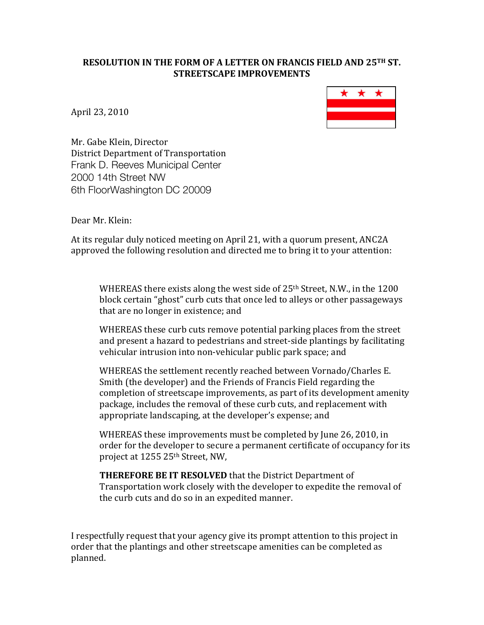### **RESOLUTION IN THE FORM OF A LETTER ON FRANCIS FIELD AND 25TH ST. STREETSCAPE IMPROVEMENTS**

April 23, 2010



Mr. Gabe Klein, Director District Department of Transportation Frank D. Reeves Municipal Center 2000 14th Street NW 6th FloorWashington DC 20009

Dear Mr. Klein:

At its regular duly noticed meeting on April 21, with a quorum present, ANC2A approved the following resolution and directed me to bring it to your attention:

WHEREAS there exists along the west side of  $25<sup>th</sup>$  Street, N.W., in the 1200 block certain "ghost" curb cuts that once led to alleys or other passageways that are no longer in existence; and

WHEREAS these curb cuts remove potential parking places from the street and present a hazard to pedestrians and street-side plantings by facilitating vehicular intrusion into non-vehicular public park space; and

WHEREAS the settlement recently reached between Vornado/Charles E. Smith (the developer) and the Friends of Francis Field regarding the completion of streetscape improvements, as part of its development amenity package, includes the removal of these curb cuts, and replacement with appropriate landscaping, at the developer's expense; and

WHEREAS these improvements must be completed by June 26, 2010, in order for the developer to secure a permanent certificate of occupancy for its project at 1255 25th Street, NW,

**THEREFORE BE IT RESOLVED** that the District Department of Transportation work closely with the developer to expedite the removal of the curb cuts and do so in an expedited manner.

I respectfully request that your agency give its prompt attention to this project in order that the plantings and other streetscape amenities can be completed as planned.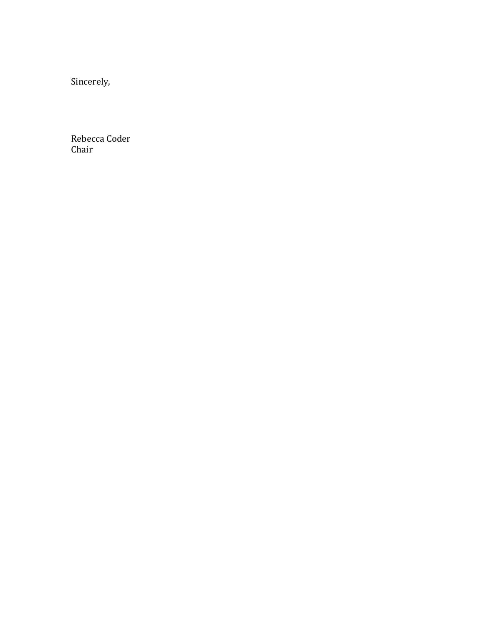Sincerely,

Rebecca Coder Chair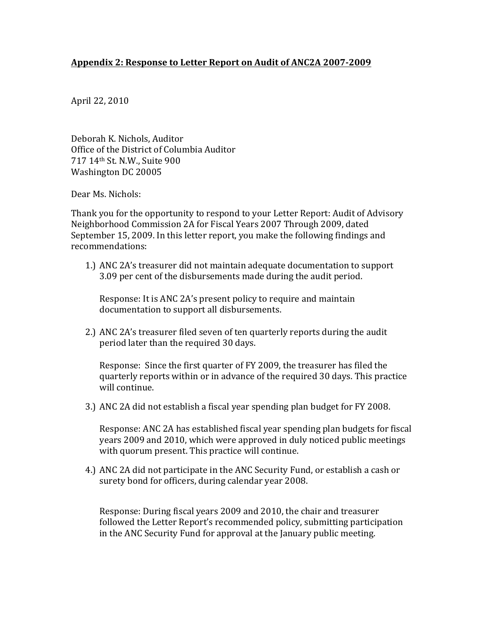### Appendix 2: Response to Letter Report on Audit of ANC2A 2007-2009

April 22, 2010

Deborah K. Nichols, Auditor Office of the District of Columbia Auditor 717 14th St. N.W., Suite 900 Washington DC 20005

Dear Ms. Nichols:

Thank you for the opportunity to respond to your Letter Report: Audit of Advisory Neighborhood Commission 2A for Fiscal Years 2007 Through 2009, dated September 15, 2009. In this letter report, you make the following findings and recommendations:

1.) ANC 2A's treasurer did not maintain adequate documentation to support 3.09 per cent of the disbursements made during the audit period.

Response: It is ANC 2A's present policy to require and maintain documentation to support all disbursements.

2.) ANC 2A's treasurer filed seven of ten quarterly reports during the audit period later than the required 30 days.

Response: Since the first quarter of FY 2009, the treasurer has filed the quarterly reports within or in advance of the required 30 days. This practice will continue.

3.) ANC 2A did not establish a fiscal year spending plan budget for FY 2008.

Response: ANC 2A has established fiscal year spending plan budgets for fiscal years 2009 and 2010, which were approved in duly noticed public meetings with quorum present. This practice will continue.

4.) ANC 2A did not participate in the ANC Security Fund, or establish a cash or surety bond for officers, during calendar year 2008.

Response: During fiscal years 2009 and 2010, the chair and treasurer followed the Letter Report's recommended policy, submitting participation in the ANC Security Fund for approval at the January public meeting.